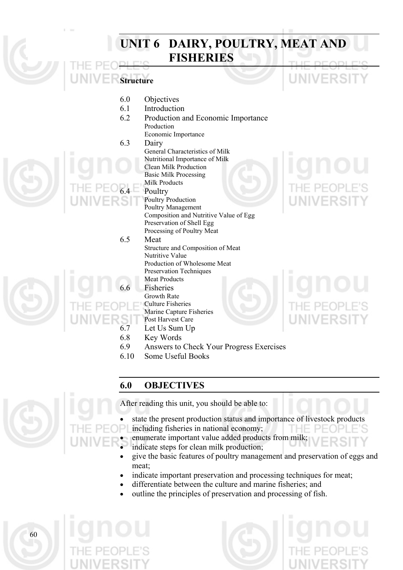#### **UNIT 6 DAIRY, POULTRY, MEAT AND FISHERIES Structure**  6.0 Objectives 6.1 Introduction 6.2 Production and Economic Importance Production Economic Importance 6.3 Dairy General Characteristics of Milk Nutritional Importance of Milk Clean Milk Production Basic Milk Processing Milk Products **Poultry** Poultry Production Poultry Management Composition and Nutritive Value of Egg Preservation of Shell Egg Processing of Poultry Meat 6.5 Meat Structure and Composition of Meat Nutritive Value Production of Wholesome Meat Preservation Techniques Meat Products **Fisheries** Growth Rate Culture Fisheries Marine Capture Fisheries Post Harvest Care 6.7 Let Us Sum Up 6.8 Key Words 6.9 Answers to Check Your Progress Exercises 6.10 Some Useful Books

# **6.0 OBJECTIVES**



After reading this unit, you should be able to:

- state the present production status and importance of livestock products
	- including fisheries in national economy; enumerate important value added products from milk;
	- indicate steps for clean milk production;
	- give the basic features of poultry management and preservation of eggs and meat;
- indicate important preservation and processing techniques for meat;
- differentiate between the culture and marine fisheries; and
- outline the principles of preservation and processing of fish.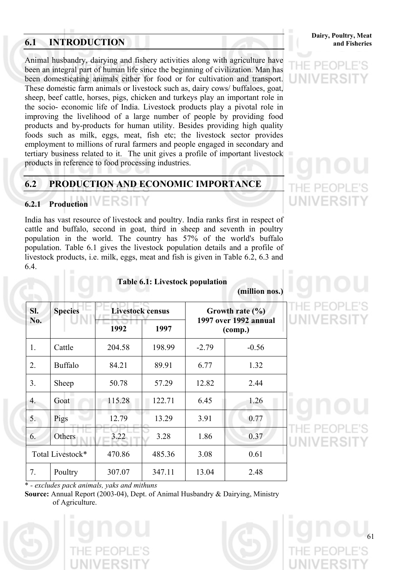# **6.1 INTRODUCTION** and Fisheries

Animal husbandry, dairying and fishery activities along with agriculture have been an integral part of human life since the beginning of civilization. Man has been domesticating animals either for food or for cultivation and transport. These domestic farm animals or livestock such as, dairy cows/ buffaloes, goat, sheep, beef cattle, horses, pigs, chicken and turkeys play an important role in the socio- economic life of India. Livestock products play a pivotal role in improving the livelihood of a large number of people by providing food products and by-products for human utility. Besides providing high quality foods such as milk, eggs, meat, fish etc; the livestock sector provides employment to millions of rural farmers and people engaged in secondary and tertiary business related to it. The unit gives a profile of important livestock products in reference to food processing industries.

# **6.2 PRODUCTION AND ECONOMIC IMPORTANCE**

# **6.2.1 Production**

India has vast resource of livestock and poultry. India ranks first in respect of cattle and buffalo, second in goat, third in sheep and seventh in poultry population in the world. The country has 57% of the world's buffalo population. Table 6.1 gives the livestock population details and a profile of livestock products, i.e. milk, eggs, meat and fish is given in Table 6.2, 6.3 and 6.4.

**Sl. Livestock census No. Species 1992 1997 Growth rate (%) 1997 over 1992 annual (comp.)**  1. **Cattle 1 204.58 198.99 -2.79 -0.56** 2. Buffalo | 84.21 | 89.91 | 6.77 | 1.32 3. Sheep | 50.78 | 57.29 | 12.82 | 2.44 4. Goat 115.28 122.71 6.45 1.26 5. Pigs 12.79 13.29 3.91 0.77 6. Others 3.22 3.28 1.86 0.37 Total Livestock\* 470.86 485.36 3.08 0.61 7. **Poultry** 307.07 347.11 13.04 2.48

# **Table 6.1: Livestock population**

# **(million nos.)**

\* *- excludes pack animals, yaks and mithuns*

**Source:** Annual Report (2003-04), Dept. of Animal Husbandry & Dairying, Ministry of Agriculture.







# UNIVERS

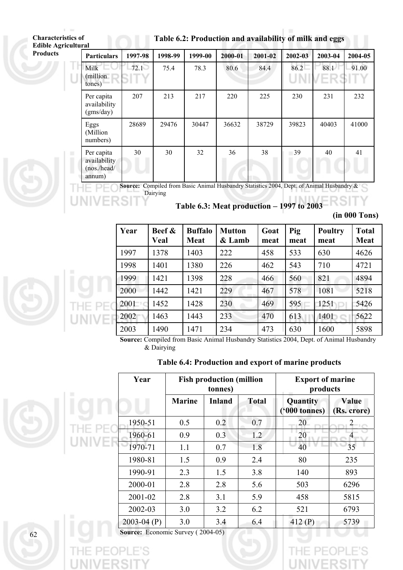| Table 6.2: Production and availability of milk and eggs |  |  |
|---------------------------------------------------------|--|--|

THI<br>Lin

| urai                                                |         |         |         |         |         |            |              |         |
|-----------------------------------------------------|---------|---------|---------|---------|---------|------------|--------------|---------|
| <b>Particulars</b>                                  | 1997-98 | 1998-99 | 1999-00 | 2000-01 | 2001-02 | 2002-03    | 2003-04      | 2004-05 |
| Milk<br>(million)<br>tones)                         | 72.1    | 75.4    | 78.3    | 80.6    | 84.4    | 86.2<br>UN | 88.1<br>/ER: | 91.00   |
| Per capita<br>availability<br>(gms/day)             | 207     | 213     | 217     | 220     | 225     | 230        | 231          | 232     |
| Eggs<br>(Million<br>numbers)                        | 28689   | 29476   | 30447   | 36632   | 38729   | 39823      | 40403        | 41000   |
| Per capita<br>availability<br>(nos./head/<br>annum) | 30      | 30      | 32      | 36      | 38      | 39         | 40           | 41      |



**Table 6.3: Meat production** − **1997 to 2003** 

| (in 000 Tons) |  |
|---------------|--|
|---------------|--|

| Year | Beef &<br>Veal | <b>Buffalo</b><br><b>Meat</b> | <b>Mutton</b><br>& Lamb | Goat<br>meat | Pig<br>meat | <b>Poultry</b><br>meat | <b>Total</b><br><b>Meat</b> |
|------|----------------|-------------------------------|-------------------------|--------------|-------------|------------------------|-----------------------------|
| 1997 | 1378           | 1403                          | 222                     | 458          | 533         | 630                    | 4626                        |
| 1998 | 1401           | 1380                          | 226                     | 462          | 543         | 710                    | 4721                        |
| 1999 | 1421           | 1398                          | 228                     | 466          | 560         | 821                    | 4894                        |
| 2000 | 1442           | 1421                          | 229                     | 467          | 578         | 1081                   | 5218                        |
| 2001 | 1452           | 1428                          | 230                     | 469          | 595         | 1251                   | 5426                        |
| 2002 | 1463           | 1443                          | 233                     | 470          | 613         | 1401                   | 5622                        |
| 2003 | 1490           | 1471                          | 234                     | 473          | 630         | 1600                   | 5898                        |

**Source:** Compiled from Basic Animal Husbandry Statistics 2004, Dept. of Animal Husbandry & Dairying

# **Table 6.4: Production and export of marine products**

|      | п | Year            | <b>Fish production (million)</b><br>tonnes) |        |              | <b>Export of marine</b><br>products |                      |  |
|------|---|-----------------|---------------------------------------------|--------|--------------|-------------------------------------|----------------------|--|
| a II |   |                 | <b>Marine</b>                               | Inland | <b>Total</b> | Quantity<br>$(900 \text{ tonnes})$  | Value<br>(Rs. crore) |  |
|      |   | 1950-51         | 0.5                                         | 0.2    | 0.7          | 20                                  | $\overline{2}$       |  |
|      |   | 1960-61         | 0.9                                         | 0.3    | 1.2          | 20                                  | $\overline{4}$       |  |
|      |   | 1970-71         | 1.1                                         | 0.7    | 1.8          | 40                                  | 35                   |  |
|      |   | 1980-81         | 1.5                                         | 0.9    | 2.4          | 80                                  | 235                  |  |
|      |   | 1990-91         | 2.3                                         | 1.5    | 3.8          | 140                                 | 893                  |  |
|      |   | 2000-01         | 2.8                                         | 2.8    | 5.6          | 503                                 | 6296                 |  |
|      |   | 2001-02         | 2.8                                         | 3.1    | 5.9          | 458                                 | 5815                 |  |
|      |   | 2002-03         | 3.0                                         | 3.2    | 6.2          | 521                                 | 6793                 |  |
|      |   | $2003 - 04$ (P) | 3.0                                         | 3.4    | 6.4          | 412 $(P)$                           | 5739                 |  |

**Source:** Economic Survey (2004-05)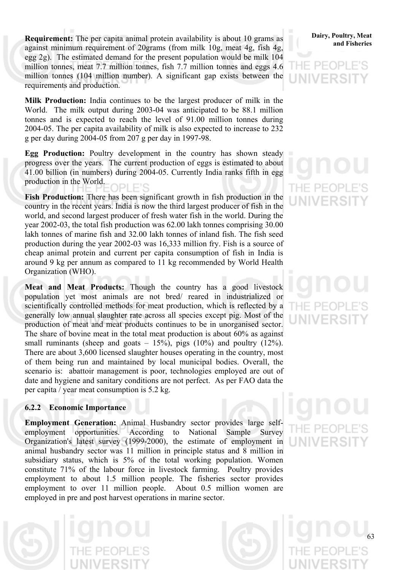**Requirement:** The per capita animal protein availability is about 10 grams as **Dairy**, Poultry, Meat against minimum requirement of 20grams (from milk 10g, meat 4g, fish 4g, egg 2g). The estimated demand for the present population would be milk 104 million tonnes, meat 7.7 million tonnes, fish 7.7 million tonnes and eggs 4.6 million tonnes (104 million number). A significant gap exists between the requirements and production.

**Milk Production:** India continues to be the largest producer of milk in the World. The milk output during 2003-04 was anticipated to be 88.1 million tonnes and is expected to reach the level of 91.00 million tonnes during 2004-05. The per capita availability of milk is also expected to increase to 232 g per day during 2004-05 from 207 g per day in 1997-98.

**Egg Production:** Poultry development in the country has shown steady progress over the years. The current production of eggs is estimated to about 41.00 billion (in numbers) during 2004-05. Currently India ranks fifth in egg production in the World.

**Fish Production:** There has been significant growth in fish production in the country in the recent years. India is now the third largest producer of fish in the world, and second largest producer of fresh water fish in the world. During the year 2002-03, the total fish production was 62.00 lakh tonnes comprising 30.00 lakh tonnes of marine fish and 32.00 lakh tonnes of inland fish. The fish seed production during the year 2002-03 was 16,333 million fry. Fish is a source of cheap animal protein and current per capita consumption of fish in India is around 9 kg per annum as compared to 11 kg recommended by World Health Organization (WHO).

**Meat and Meat Products:** Though the country has a good livestock population yet most animals are not bred/ reared in industrialized or scientifically controlled methods for meat production, which is reflected by a generally low annual slaughter rate across all species except pig. Most of the production of meat and meat products continues to be in unorganised sector. The share of bovine meat in the total meat production is about 60% as against small ruminants (sheep and goats  $-15\%$ ), pigs (10%) and poultry (12%). There are about 3,600 licensed slaughter houses operating in the country, most of them being run and maintained by local municipal bodies. Overall, the scenario is: abattoir management is poor, technologies employed are out of date and hygiene and sanitary conditions are not perfect. As per FAO data the per capita / year meat consumption is 5.2 kg.

#### **6.2.2 Economic Importance**

**Employment Generation:** Animal Husbandry sector provides large selfemployment opportunities. According to National Sample Survey Organization's latest survey (1999-2000), the estimate of employment in animal husbandry sector was 11 million in principle status and 8 million in subsidiary status, which is 5% of the total working population. Women constitute 71% of the labour force in livestock farming. Poultry provides employment to about 1.5 million people. The fisheries sector provides employment to over 11 million people. About 0.5 million women are employed in pre and post harvest operations in marine sector.

# **Dairy, Poultry, Meat**

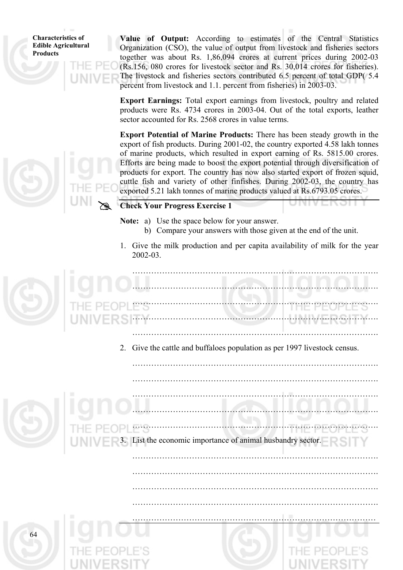64

**Value of Output:** According to estimates of the Central Statistics Organization (CSO), the value of output from livestock and fisheries sectors together was about Rs. 1,86,094 crores at current prices during 2002-03 (Rs.156, 080 crores for livestock sector and Rs. 30,014 crores for fisheries). The livestock and fisheries sectors contributed 6.5 percent of total GDP( 5.4 percent from livestock and 1.1. percent from fisheries) in 2003-03.

**Export Earnings:** Total export earnings from livestock, poultry and related products were Rs. 4734 crores in 2003-04. Out of the total exports, leather sector accounted for Rs. 2568 crores in value terms.

**Export Potential of Marine Products:** There has been steady growth in the export of fish products. During 2001-02, the country exported 4.58 lakh tonnes of marine products, which resulted in export earning of Rs. 5815.00 crores. Efforts are being made to boost the export potential through diversification of products for export. The country has now also started export of frozen squid, cuttle fish and variety of other finfishes. During 2002-03, the country has exported 5.21 lakh tonnes of marine products valued at Rs.6793.05 crores.

# **Check Your Progress Exercise 1**

#

**Note:** a) Use the space below for your answer.

- b) Compare your answers with those given at the end of the unit.
- 1. Give the milk production and per capita availability of milk for the year 2002-03.



2. Give the cattle and buffaloes population as per 1997 livestock census.

……………………………………………………………………………….

……………………………………………………………………………….

……………………………………………………………………………….

……………………………………………………………………………….

………………………………………………………………………………

 ………………………………………………………………………………. ………………………………………………………………………………. ………………………………………………………………………………. ………………………………………………………………………………. List the economic importance of animal husbandry sector. ……………………………………………………………………………….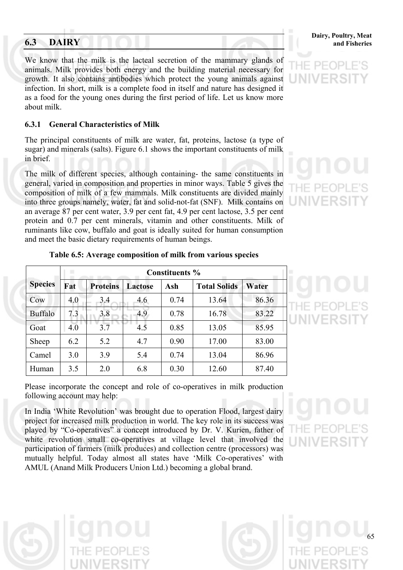We know that the milk is the lacteal secretion of the mammary glands of animals. Milk provides both energy and the building material necessary for growth. It also contains antibodies which protect the young animals against infection. In short, milk is a complete food in itself and nature has designed it as a food for the young ones during the first period of life. Let us know more about milk.

#### **6.3.1 General Characteristics of Milk**

The principal constituents of milk are water, fat, proteins, lactose (a type of sugar) and minerals (salts). Figure 6.1 shows the important constituents of milk in brief.

The milk of different species, although containing- the same constituents in general, varied in composition and properties in minor ways. Table 5 gives the composition of milk of a few mammals. Milk constituents are divided mainly into three groups namely, water, fat and solid-not-fat (SNF). Milk contains on an average 87 per cent water, 3.9 per cent fat, 4.9 per cent lactose, 3.5 per cent protein and 0.7 per cent minerals, vitamin and other constituents. Milk of ruminants like cow, buffalo and goat is ideally suited for human consumption and meet the basic dietary requirements of human beings.

|                | <b>Constituents %</b> |                 |                |      |                     |       |  |  |  |
|----------------|-----------------------|-----------------|----------------|------|---------------------|-------|--|--|--|
| <b>Species</b> | Fat                   | <b>Proteins</b> | <b>Lactose</b> | Ash  | <b>Total Solids</b> | Water |  |  |  |
| Cow            | 4.0                   | 3.4             | 4.6            | 0.74 | 13.64               | 86.36 |  |  |  |
| <b>Buffalo</b> | 7.3                   | 3.8             | 4.9            | 0.78 | 16.78               | 83.22 |  |  |  |
| Goat           | 4.0                   | 3.7             | 4.5            | 0.85 | 13.05               | 85.95 |  |  |  |
| Sheep          | 6.2                   | 5.2             | 4.7            | 0.90 | 17.00               | 83.00 |  |  |  |
| Camel          | 3.0                   | 3.9             | 5.4            | 0.74 | 13.04               | 86.96 |  |  |  |
| Human          | 3.5                   | 2.0             | 6.8            | 0.30 | 12.60               | 87.40 |  |  |  |

#### **Table 6.5: Average composition of milk from various species**

Please incorporate the concept and role of co-operatives in milk production following account may help:

In India 'White Revolution' was brought due to operation Flood, largest dairy project for increased milk production in world. The key role in its success was played by "Co-operatives" a concept introduced by Dr. V. Kurien, father of white revolution small co-operatives at village level that involved the participation of farmers (milk produces) and collection centre (processors) was mutually helpful. Today almost all states have 'Milk Co-operatives' with AMUL (Anand Milk Producers Union Ltd.) becoming a global brand.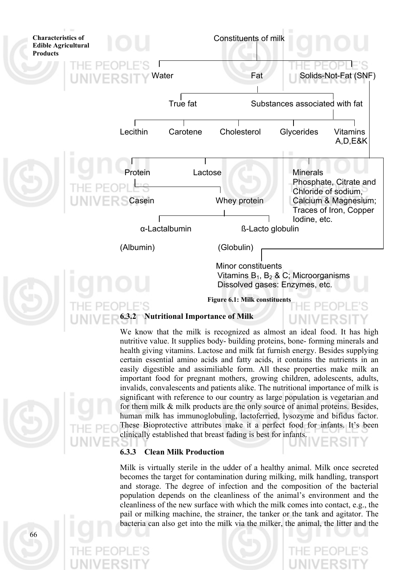

We know that the milk is recognized as almost an ideal food. It has high nutritive value. It supplies body- building proteins, bone- forming minerals and health giving vitamins. Lactose and milk fat furnish energy. Besides supplying certain essential amino acids and fatty acids, it contains the nutrients in an easily digestible and assimiliable form. All these properties make milk an important food for pregnant mothers, growing children, adolescents, adults, invalids, convalescents and patients alike. The nutritional importance of milk is significant with reference to our country as large population is vegetarian and for them milk & milk products are the only source of animal proteins. Besides, human milk has immunoglobuling, lactoferried, lysozyme and bifidus factor. These Bioprotective attributes make it a perfect food for infants. It's been clinically established that breast fading is best for infants.

#### **6.3.3 Clean Milk Production**

Milk is virtually sterile in the udder of a healthy animal. Milk once secreted becomes the target for contamination during milking, milk handling, transport and storage. The degree of infection and the composition of the bacterial population depends on the cleanliness of the animal's environment and the cleanliness of the new surface with which the milk comes into contact, e.g., the pail or milking machine, the strainer, the tanker or the tank and agitator. The bacteria can also get into the milk via the milker, the animal, the litter and the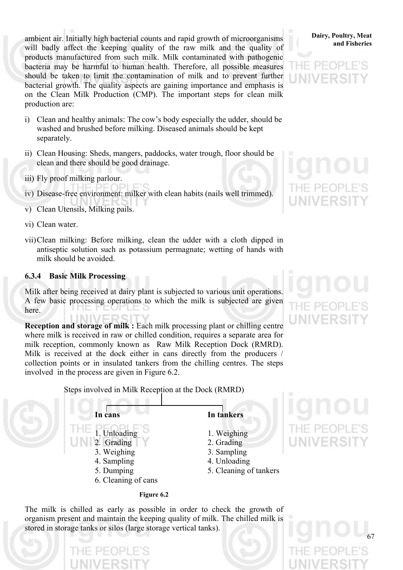ambient air. Initially high bacterial counts and rapid growth of microorganisms **Dairy**, Poultry, Meat will badly affect the keeping quality of the raw milk and the quality of products manufactured from such milk. Milk contaminated with pathogenic bacteria may be harmful to human health. Therefore, all possible measures should be taken to limit the contamination of milk and to prevent further bacterial growth. The quality aspects are gaining importance and emphasis is on the Clean Milk Production (CMP). The important steps for clean milk production are:

- i) Clean and healthy animals: The cow's body especially the udder, should be washed and brushed before milking. Diseased animals should be kept separately.
- ii) Clean Housing: Sheds, mangers, paddocks, water trough, floor should be clean and there should be good drainage.
- iii) Fly proof milking parlour.
- iv) Disease-free environment: milker with clean habits (nails well trimmed).
- v) Clean Utensils, Milking pails.
- vi) Clean water.
- vii)Clean milking: Before milking, clean the udder with a cloth dipped in antiseptic solution such as potassium permagnate; wetting of hands with milk should be avoided.

#### **6.3.4 Basic Milk Processing**

Milk after being received at dairy plant is subjected to various unit operations. A few basic processing operations to which the milk is subjected are given here.

**Reception and storage of milk :** Each milk processing plant or chilling centre where milk is received in raw or chilled condition, requires a separate area for milk reception, commonly known as Raw Milk Reception Dock (RMRD). Milk is received at the dock either in cans directly from the producers / collection points or in insulated tankers from the chilling centres. The steps involved in the process are given in Figure 6.2.

67

Steps involved in Milk Reception at the Dock (RMRD)



The milk is chilled as early as possible in order to check the growth of organism present and maintain the keeping quality of milk. The chilled milk is stored in storage tanks or silos (large storage vertical tanks).

# **Dairy, Poultry, Meat**

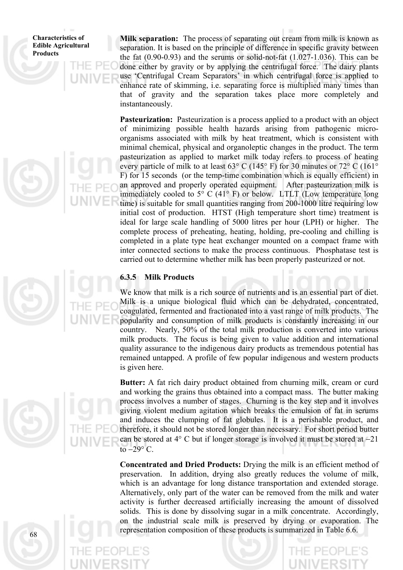**Milk separation:** The process of separating out cream from milk is known as separation. It is based on the principle of difference in specific gravity between the fat  $(0.90-0.93)$  and the serums or solid-not-fat  $(1.027-1.036)$ . This can be done either by gravity or by applying the centrifugal force. The dairy plants use 'Centrifugal Cream Separators' in which centrifugal force is applied to enhance rate of skimming, i.e. separating force is multiplied many times than that of gravity and the separation takes place more completely and instantaneously.

**Pasteurization:** Pasteurization is a process applied to a product with an object of minimizing possible health hazards arising from pathogenic microorganisms associated with milk by heat treatment, which is consistent with minimal chemical, physical and organoleptic changes in the product. The term pasteurization as applied to market milk today refers to process of heating every particle of milk to at least 63° C (145° F) for 30 minutes or 72° C (161° F) for 15 seconds (or the temp-time combination which is equally efficient) in an approved and properly operated equipment. After pasteurization milk is immediately cooled to  $5^{\circ}$  C (41° F) or below. LTLT (Low temperature long time) is suitable for small quantities ranging from 200-1000 litre requiring low initial cost of production. HTST (High temperature short time) treatment is ideal for large scale handling of 5000 litres per hour (LPH) or higher. The complete process of preheating, heating, holding, pre-cooling and chilling is completed in a plate type heat exchanger mounted on a compact frame with inter connected sections to make the process continuous. Phosphatase test is carried out to determine whether milk has been properly pasteurized or not.

#### **6.3.5 Milk Products**

We know that milk is a rich source of nutrients and is an essential part of diet. Milk is a unique biological fluid which can be dehydrated, concentrated, coagulated, fermented and fractionated into a vast range of milk products. The popularity and consumption of milk products is constantly increasing in our country. Nearly, 50% of the total milk production is converted into various milk products. The focus is being given to value addition and international quality assurance to the indigenous dairy products as tremendous potential has remained untapped. A profile of few popular indigenous and western products is given here.

**Butter:** A fat rich dairy product obtained from churning milk, cream or curd and working the grains thus obtained into a compact mass. The butter making process involves a number of stages. Churning is the key step and it involves giving violent medium agitation which breaks the emulsion of fat in serums and induces the clumping of fat globules. It is a perishable product, and therefore, it should not be stored longer than necessary. For short period butter can be stored at 4° C but if longer storage is involved it must be stored at −21 to  $-29^\circ$  C.

**Concentrated and Dried Products:** Drying the milk is an efficient method of preservation. In addition, drying also greatly reduces the volume of milk, which is an advantage for long distance transportation and extended storage. Alternatively, only part of the water can be removed from the milk and water activity is further decreased artificially increasing the amount of dissolved solids. This is done by dissolving sugar in a milk concentrate. Accordingly, on the industrial scale milk is preserved by drying or evaporation. The representation composition of these products is summarized in Table 6.6.

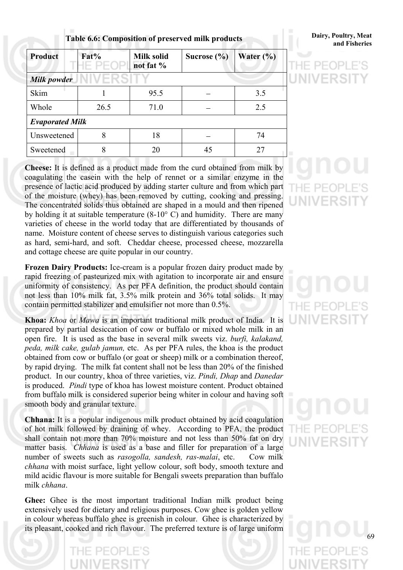**and Fisheries Table 6.6: Composition of preserved milk products** 

# **Dairy, Poultry, Meat**

| <b>Product</b>         | Fat% | <b>Milk solid</b><br>not fat % | Sucrose $(\% )$ | Water $(\% )$ |
|------------------------|------|--------------------------------|-----------------|---------------|
| Milk powder            |      |                                |                 |               |
| Skim                   |      | 95.5                           |                 | 3.5           |
| Whole                  | 26.5 | 71.0                           |                 | 2.5           |
| <b>Evaporated Milk</b> |      |                                |                 |               |
| Unsweetened            | 8    | 18                             |                 | 74            |
| Sweetened              | 8    | 20                             | 45              | 27            |

**Cheese:** It is defined as a product made from the curd obtained from milk by coagulating the casein with the help of rennet or a similar enzyme in the presence of lactic acid produced by adding starter culture and from which part of the moisture (whey) has been removed by cutting, cooking and pressing. The concentrated solids thus obtained are shaped in a mould and then ripened by holding it at suitable temperature (8-10° C) and humidity. There are many varieties of cheese in the world today that are differentiated by thousands of name. Moisture content of cheese serves to distinguish various categories such as hard, semi-hard, and soft. Cheddar cheese, processed cheese, mozzarella and cottage cheese are quite popular in our country.

**Frozen Dairy Products:** Ice-cream is a popular frozen dairy product made by rapid freezing of pasteurized mix with agitation to incorporate air and ensure uniformity of consistency. As per PFA definition, the product should contain not less than 10% milk fat, 3.5% milk protein and 36% total solids. It may contain permitted stabilizer and emulsifier not more than 0.5%.

**Khoa:** *Khoa* or *Mawa* is an important traditional milk product of India. It is prepared by partial desiccation of cow or buffalo or mixed whole milk in an open fire. It is used as the base in several milk sweets viz. *burfi, kalakand, peda, milk cake, gulab jamun,* etc. As per PFA rules, the khoa is the product obtained from cow or buffalo (or goat or sheep) milk or a combination thereof, by rapid drying. The milk fat content shall not be less than 20% of the finished product. In our country, khoa of three varieties, viz. *Pindi, Dhap* and *Danedar* is produced. *Pindi* type of khoa has lowest moisture content. Product obtained from buffalo milk is considered superior being whiter in colour and having soft smooth body and granular texture.

**Chhana:** It is a popular indigenous milk product obtained by acid coagulation of hot milk followed by draining of whey. According to PFA, the product shall contain not more than 70% moisture and not less than 50% fat on dry matter basis. *Chhana* is used as a base and filler for preparation of a large number of sweets such as *rasogolla, sandesh, ras-malai*, etc. Cow milk *chhana* with moist surface, light yellow colour, soft body, smooth texture and mild acidic flavour is more suitable for Bengali sweets preparation than buffalo milk *chhana*.

**Ghee:** Ghee is the most important traditional Indian milk product being extensively used for dietary and religious purposes. Cow ghee is golden yellow in colour whereas buffalo ghee is greenish in colour. Ghee is characterized by its pleasant, cooked and rich flavour. The preferred texture is of large uniform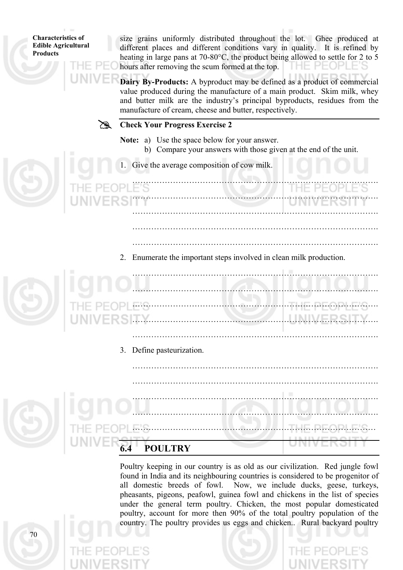size grains uniformly distributed throughout the lot. Ghee produced at different places and different conditions vary in quality. It is refined by heating in large pans at 70-80°C, the product being allowed to settle for 2 to 5 hours after removing the scum formed at the top. THE PEOPLE'S

**Dairy By-Products:** A byproduct may be defined as a product of commercial value produced during the manufacture of a main product. Skim milk, whey and butter milk are the industry's principal byproducts, residues from the manufacture of cream, cheese and butter, respectively.



- **Note:** a) Use the space below for your answer.
	- b) Compare your answers with those given at the end of the unit.
- 1. Give the average composition of cow milk.

 ………………………………………………………………………………. ………………………………………………………………………………. ………………………………………………………………………………. ……………………………………………………………………………….

- ……………………………………………………………………………….
- 2. Enumerate the important steps involved in clean milk production.

 ………………………………………………………………………………. ………………………………………………………………………………. ………………………………………………………………………………. ……………………………………………………………………………….

……………………………………………………………………………….

……………………………………………………………………………….

3. Define pasteurization.



 ………………………………………………………………………………. ………………………………………………………………………………. ………………………………………………………………………………. ……………………………………………………………………………… **6.4 POULTRY**

> Poultry keeping in our country is as old as our civilization. Red jungle fowl found in India and its neighbouring countries is considered to be progenitor of all domestic breeds of fowl. Now, we include ducks, geese, turkeys, pheasants, pigeons, peafowl, guinea fowl and chickens in the list of species under the general term poultry. Chicken, the most popular domesticated poultry, account for more then 90% of the total poultry population of the country. The poultry provides us eggs and chicken.. Rural backyard poultry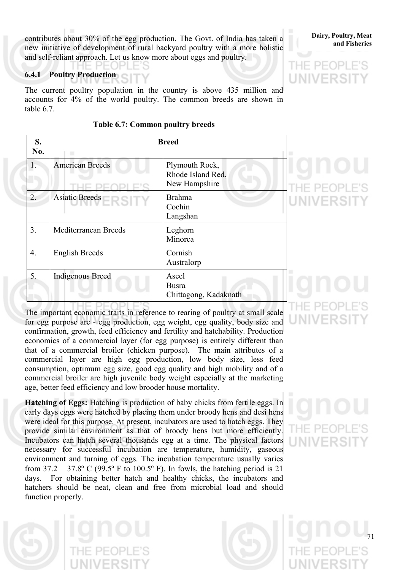contributes about 30% of the egg production. The Govt. of India has taken a **Dairy**, Poultry, Meat new initiative of development of rural backyard poultry with a more holistic and self-reliant approach. Let us know more about eggs and poultry.

### **6.4.1 Poultry Production**

HE PEOPLE'S

The current poultry population in the country is above 435 million and accounts for 4% of the world poultry. The common breeds are shown in table 6.7.

| S.<br>No. | п                       | <b>Breed</b>                                         |                |
|-----------|-------------------------|------------------------------------------------------|----------------|
| 1.        | <b>American Breeds</b>  | Plymouth Rock,<br>Rhode Island Red,<br>New Hampshire |                |
| 2.        | Asiatic Breeds          | <b>Brahma</b><br>Cochin<br>Langshan                  | <b>UNIVERS</b> |
| 3.        | Mediterranean Breeds    | Leghorn<br>Minorca                                   |                |
| 4.        | <b>English Breeds</b>   | Cornish<br>Australorp                                |                |
| 5.        | <b>Indigenous Breed</b> | Aseel<br><b>Busra</b><br>Chittagong, Kadaknath       |                |

#### **Table 6.7: Common poultry breeds**

The important economic traits in reference to rearing of poultry at small scale for egg purpose are - egg production, egg weight, egg quality, body size and confirmation, growth, feed efficiency and fertility and hatchability. Production economics of a commercial layer (for egg purpose) is entirely different than that of a commercial broiler (chicken purpose). The main attributes of a commercial layer are high egg production, low body size, less feed consumption, optimum egg size, good egg quality and high mobility and of a commercial broiler are high juvenile body weight especially at the marketing age, better feed efficiency and low brooder house mortality.

**Hatching of Eggs:** Hatching is production of baby chicks from fertile eggs. In early days eggs were hatched by placing them under broody hens and desi hens were ideal for this purpose. At present, incubators are used to hatch eggs. They provide similar environment as that of broody hens but more efficiently. Incubators can hatch several thousands egg at a time. The physical factors necessary for successful incubation are temperature, humidity, gaseous environment and turning of eggs. The incubation temperature usually varies from 37.2 − 37.8º C (99.5º F to 100.5º F). In fowls, the hatching period is 21 days. For obtaining better hatch and healthy chicks, the incubators and hatchers should be neat, clean and free from microbial load and should function properly.

# **Dairy, Poultry, Meat**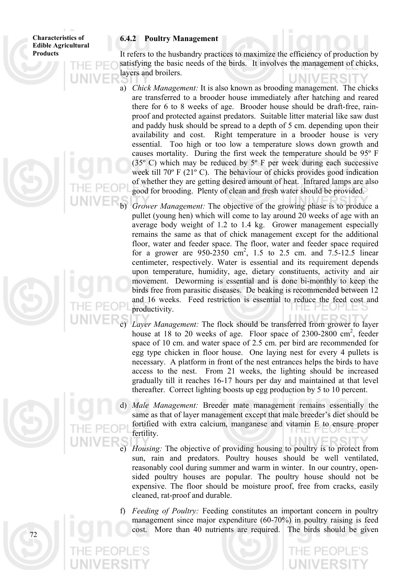#### **6.4.2 Poultry Management**

It refers to the husbandry practices to maximize the efficiency of production by satisfying the basic needs of the birds. It involves the management of chicks, layers and broilers.

a) *Chick Management:* It is also known as brooding management. The chicks are transferred to a brooder house immediately after hatching and reared there for 6 to 8 weeks of age. Brooder house should be draft-free, rainproof and protected against predators. Suitable litter material like saw dust and paddy husk should be spread to a depth of 5 cm. depending upon their availability and cost. Right temperature in a brooder house is very essential. Too high or too low a temperature slows down growth and causes mortality. During the first week the temperature should be 95º F (35 $\degree$  C) which may be reduced by  $5\degree$  F per week during each successive week till 70º F (21º C). The behaviour of chicks provides good indication of whether they are getting desired amount of heat. Infrared lamps are also good for brooding. Plenty of clean and fresh water should be provided.

*Grower Management:* The objective of the growing phase is to produce a pullet (young hen) which will come to lay around 20 weeks of age with an average body weight of 1.2 to 1.4 kg. Grower management especially remains the same as that of chick management except for the additional floor, water and feeder space. The floor, water and feeder space required for a grower are  $950 - 2350$  cm<sup>2</sup>, 1.5 to 2.5 cm. and 7.5-12.5 linear centimeter, respectively. Water is essential and its requirement depends upon temperature, humidity, age, dietary constituents, activity and air movement. Deworming is essential and is done bi-monthly to keep the birds free from parasitic diseases. De beaking is recommended between 12 and 16 weeks. Feed restriction is essential to reduce the feed cost and productivity.

Layer Management: The flock should be transferred from grower to layer house at 18 to 20 weeks of age. Floor space of  $2300-2800$  cm<sup>2</sup>, feeder space of 10 cm. and water space of 2.5 cm. per bird are recommended for egg type chicken in floor house. One laying nest for every 4 pullets is necessary. A platform in front of the nest entrances helps the birds to have access to the nest. From 21 weeks, the lighting should be increased gradually till it reaches 16-17 hours per day and maintained at that level thereafter. Correct lighting boosts up egg production by 5 to 10 percent.

*Male Management:* Breeder mate management remains essentially the same as that of layer management except that male breeder's diet should be fortified with extra calcium, manganese and vitamin E to ensure proper fertility.

> *Housing:* The objective of providing housing to poultry is to protect from sun, rain and predators. Poultry houses should be well ventilated, reasonably cool during summer and warm in winter. In our country, opensided poultry houses are popular. The poultry house should not be expensive. The floor should be moisture proof, free from cracks, easily cleaned, rat-proof and durable.

*Feeding of Poultry:* Feeding constitutes an important concern in poultry management since major expenditure (60-70%) in poultry raising is feed cost. More than 40 nutrients are required. The birds should be given

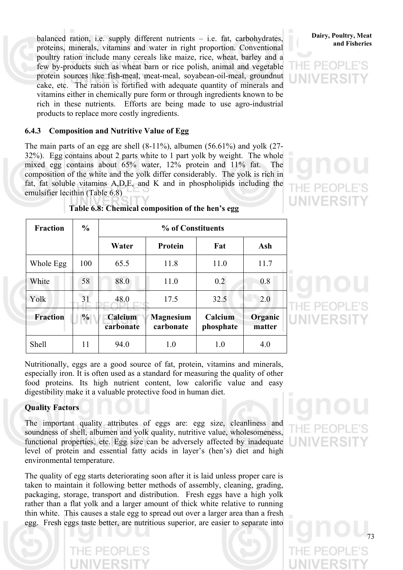balanced ration, i.e. supply different nutrients – i.e. fat, carbohydrates, **Dairy, Poultry, Meat** proteins, minerals, vitamins and water in right proportion. Conventional poultry ration include many cereals like maize, rice, wheat, barley and a few by-products such as wheat barn or rice polish, animal and vegetable protein sources like fish-meal, meat-meal, soyabean-oil-meal, groundnut cake, etc. The ration is fortified with adequate quantity of minerals and vitamins either in chemically pure form or through ingredients known to be rich in these nutrients. Efforts are being made to use agro-industrial products to replace more costly ingredients.

#### **6.4.3 Composition and Nutritive Value of Egg**

The main parts of an egg are shell (8-11%), albumen (56.61%) and yolk (27- 32%). Egg contains about 2 parts white to 1 part yolk by weight. The whole mixed egg contains about 65% water, 12% protein and 11% fat. The composition of the white and the yolk differ considerably. The yolk is rich in fat, fat soluble vitamins A,D,E, and K and in phospholipids including the emulsifier lecithin (Table 6.8)

| <b>Fraction</b> | $\frac{6}{9}$ | % of Constituents    |                               |                      |                   |  |  |
|-----------------|---------------|----------------------|-------------------------------|----------------------|-------------------|--|--|
|                 |               | Water                | <b>Protein</b>                | Fat                  | Ash               |  |  |
| Whole Egg       | 100           | 65.5                 | 11.8                          | 11.0                 | 11.7              |  |  |
| White           | 58            | 88.0                 | 11.0                          | 0.2                  | 0.8               |  |  |
| Yolk            | 31            | 48.0                 | 17.5                          | 32.5                 | 2.0               |  |  |
| <b>Fraction</b> | $\%$          | Calcium<br>carbonate | <b>Magnesium</b><br>carbonate | Calcium<br>phosphate | Organic<br>matter |  |  |
| <b>Shell</b>    | 11            | 94.0                 | 1.0                           | 1.0                  | 4.0               |  |  |

**Table 6.8: Chemical composition of the hen's egg** 

Nutritionally, eggs are a good source of fat, protein, vitamins and minerals, especially iron. It is often used as a standard for measuring the quality of other food proteins. Its high nutrient content, low calorific value and easy digestibility make it a valuable protective food in human diet.

#### **Quality Factors**

The important quality attributes of eggs are: egg size, cleanliness and soundness of shell, albumen and yolk quality, nutritive value, wholesomeness, functional properties, etc. Egg size can be adversely affected by inadequate level of protein and essential fatty acids in layer's (hen's) diet and high environmental temperature.

The quality of egg starts deteriorating soon after it is laid unless proper care is taken to maintain it following better methods of assembly, cleaning, grading, packaging, storage, transport and distribution. Fresh eggs have a high yolk rather than a flat yolk and a larger amount of thick white relative to running thin white. This causes a stale egg to spread out over a larger area than a fresh egg. Fresh eggs taste better, are nutritious superior, are easier to separate into

# **Dairy, Poultry, Meat**



# F PFOI JNIVERS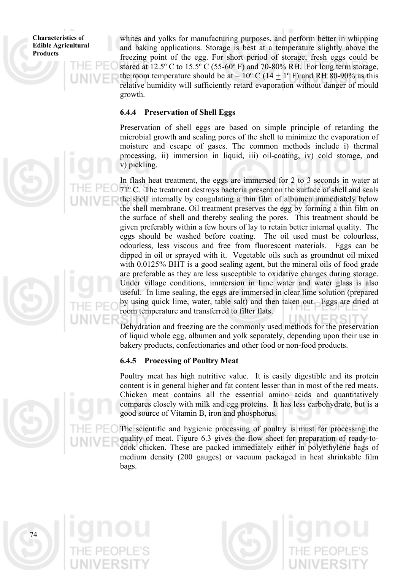whites and yolks for manufacturing purposes, and perform better in whipping and baking applications. Storage is best at a temperature slightly above the freezing point of the egg. For short period of storage, fresh eggs could be stored at 12.5º C to 15.5º C (55-60º F) and 70-80% RH. For long term storage, the room temperature should be at – 10° C (14  $\pm$  1° F) and RH 80-90% as this relative humidity will sufficiently retard evaporation without danger of mould growth.

#### **6.4.4 Preservation of Shell Eggs**

Preservation of shell eggs are based on simple principle of retarding the microbial growth and sealing pores of the shell to minimize the evaporation of moisture and escape of gases. The common methods include i) thermal processing, ii) immersion in liquid, iii) oil-coating, iv) cold storage, and v) pickling.

In flash heat treatment, the eggs are immersed for 2 to 3 seconds in water at 71º C. The treatment destroys bacteria present on the surface of shell and seals the shell internally by coagulating a thin film of albumen immediately below the shell membrane. Oil treatment preserves the egg by forming a thin film on the surface of shell and thereby sealing the pores. This treatment should be given preferably within a few hours of lay to retain better internal quality. The eggs should be washed before coating. The oil used must be colourless, odourless, less viscous and free from fluorescent materials. Eggs can be dipped in oil or sprayed with it. Vegetable oils such as groundnut oil mixed with 0.0125% BHT is a good sealing agent, but the mineral oils of food grade are preferable as they are less susceptible to oxidative changes during storage. Under village conditions, immersion in lime water and water glass is also useful. In lime sealing, the eggs are immersed in clear lime solution (prepared by using quick lime, water, table salt) and then taken out. Eggs are dried at room temperature and transferred to filter flats.

Dehydration and freezing are the commonly used methods for the preservation of liquid whole egg, albumen and yolk separately, depending upon their use in bakery products, confectionaries and other food or non-food products.

#### **6.4.5 Processing of Poultry Meat**

Poultry meat has high nutritive value. It is easily digestible and its protein content is in general higher and fat content lesser than in most of the red meats. Chicken meat contains all the essential amino acids and quantitatively compares closely with milk and egg proteins. It has less carbohydrate, but is a good source of Vitamin B, iron and phosphorus.

The scientific and hygienic processing of poultry is must for processing the quality of meat. Figure 6.3 gives the flow sheet for preparation of ready-tocook chicken. These are packed immediately either in polyethylene bags of medium density (200 gauges) or vacuum packaged in heat shrinkable film bags.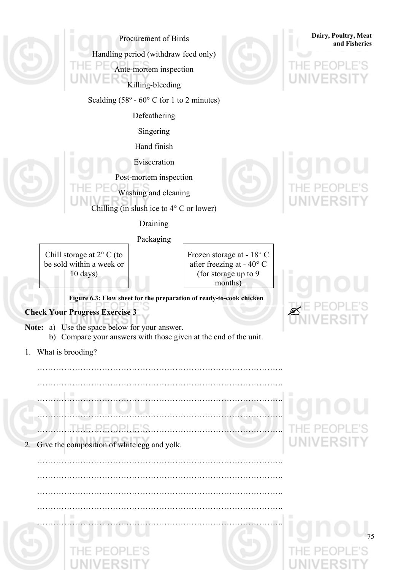| Procurement of Birds                                                                        |                                                                                           | Dairy, Poultry, Meat<br>and Fisheries |
|---------------------------------------------------------------------------------------------|-------------------------------------------------------------------------------------------|---------------------------------------|
| Handling period (withdraw feed only)                                                        |                                                                                           |                                       |
| Ante-mortem inspection                                                                      |                                                                                           |                                       |
| Killing-bleeding                                                                            |                                                                                           |                                       |
| Scalding $(58^{\circ} - 60^{\circ} \text{ C} \text{ for } 1 \text{ to } 2 \text{ minutes})$ |                                                                                           |                                       |
| Defeathering                                                                                |                                                                                           |                                       |
| Singering                                                                                   |                                                                                           |                                       |
| Hand finish                                                                                 |                                                                                           |                                       |
| Evisceration                                                                                |                                                                                           |                                       |
| Post-mortem inspection                                                                      |                                                                                           |                                       |
| Washing and cleaning                                                                        |                                                                                           |                                       |
| Chilling (in slush ice to $4^{\circ}$ C or lower)                                           |                                                                                           |                                       |
| Draining                                                                                    |                                                                                           |                                       |
| Packaging                                                                                   |                                                                                           |                                       |
| Chill storage at $2^{\circ}$ C (to<br>be sold within a week or<br>$10 \text{ days}$ )       | Frozen storage at - 18° C<br>after freezing at - 40° C<br>(for storage up to 9<br>months) |                                       |
| Figure 6.3: Flow sheet for the preparation of ready-to-cook chicken                         |                                                                                           |                                       |
| <b>Check Your Progress Exercise 3</b>                                                       |                                                                                           |                                       |
| Note: a) Use the space below for your answer.                                               |                                                                                           |                                       |
| b) Compare your answers with those given at the end of the unit.                            |                                                                                           |                                       |
| What is brooding?<br>$1_{\cdot}$                                                            |                                                                                           |                                       |
|                                                                                             |                                                                                           |                                       |
|                                                                                             |                                                                                           |                                       |
|                                                                                             |                                                                                           |                                       |
|                                                                                             |                                                                                           |                                       |
| <u>THE PEOPLE'S</u>                                                                         |                                                                                           |                                       |
| Give the composition of white egg and yolk.<br>2.                                           |                                                                                           | VER                                   |
|                                                                                             |                                                                                           |                                       |
|                                                                                             |                                                                                           |                                       |
|                                                                                             |                                                                                           |                                       |
|                                                                                             |                                                                                           |                                       |
|                                                                                             |                                                                                           |                                       |
|                                                                                             |                                                                                           |                                       |
|                                                                                             |                                                                                           |                                       |
|                                                                                             |                                                                                           |                                       |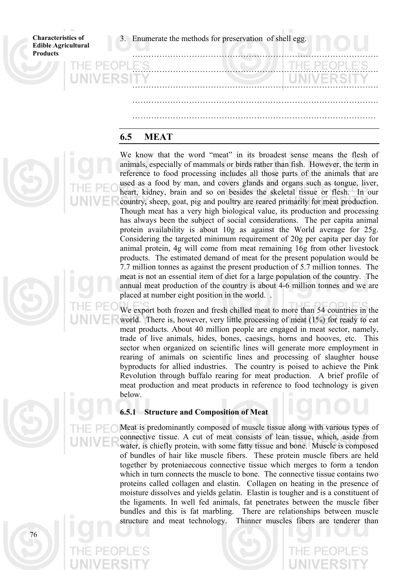3. Enumerate the methods for preservation of shell egg.

**Characteristics of Edible Agricultural Products** 

|              |              |  |  | ______       |  |
|--------------|--------------|--|--|--------------|--|
|              |              |  |  |              |  |
| <b>PEOPI</b> | $E^{\prime}$ |  |  | THE PEOPLE'S |  |
|              |              |  |  | UNIVERSITY   |  |
|              |              |  |  |              |  |
|              |              |  |  |              |  |
|              |              |  |  |              |  |

# **6.5 MEAT**

We know that the word "meat" in its broadest sense means the flesh of animals, especially of mammals or birds rather than fish. However, the term in reference to food processing includes all those parts of the animals that are used as a food by man, and covers glands and organs such as tongue, liver, heart, kidney, brain and so on besides the skeletal tissue or flesh. In our country, sheep, goat, pig and poultry are reared primarily for meat production. Though meat has a very high biological value, its production and processing has always been the subject of social considerations. The per capita animal protein availability is about 10g as against the World average for 25g. Considering the targeted minimum requirement of 20g per capita per day for animal protein, 4g will come from meat remaining 16g from other livestock products. The estimated demand of meat for the present population would be 7.7 million tonnes as against the present production of 5.7 million tonnes. The meat is not an essential item of diet for a large population of the country. The annual meat production of the country is about 4-6 million tonnes and we are placed at number eight position in the world. .

We export both frozen and fresh chilled meat to more than 54 countries in the world. There is, however, very little processing of meat (1%) for ready to eat meat products. About 40 million people are engaged in meat sector, namely, trade of live animals, hides, bones, caesings, horns and hooves, etc. This sector when organized on scientific lines will generate more employment in rearing of animals on scientific lines and processing of slaughter house byproducts for allied industries. The country is poised to achieve the Pink Revolution through buffalo rearing for meat production. A brief profile of meat production and meat products in reference to food technology is given below.

#### **6.5.1 Structure and Composition of Meat**

Meat is predominantly composed of muscle tissue along with various types of connective tissue. A cut of meat consists of lean tissue, which, aside from water, is chiefly protein, with some fatty tissue and bone. Muscle is composed of bundles of hair like muscle fibers. These protein muscle fibers are held together by proteniaecous connective tissue which merges to form a tendon which in turn connects the muscle to bone. The connective tissue contains two proteins called collagen and elastin. Collagen on heating in the presence of moisture dissolves and yields gelatin. Elastin is tougher and is a constituent of the ligaments. In well fed animals, fat penetrates between the muscle fiber bundles and this is fat marbling. There are relationships between muscle structure and meat technology. Thinner muscles fibers are tenderer than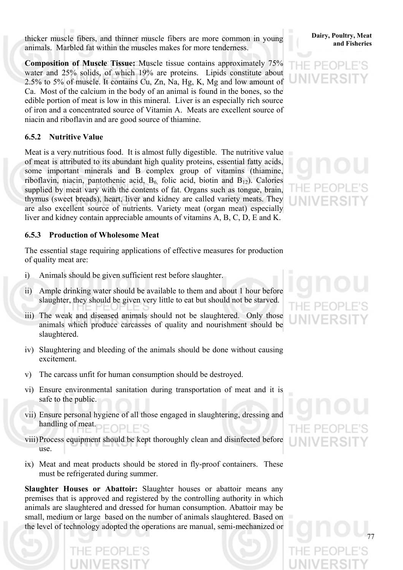thicker muscle fibers, and thinner muscle fibers are more common in young **Dairy**, Poultry, Meat animals. Marbled fat within the muscles makes for more tenderness.

**Composition of Muscle Tissue:** Muscle tissue contains approximately 75% water and 25% solids, of which 19% are proteins. Lipids constitute about 2.5% to 5% of muscle. It contains Cu, Zn, Na, Hg, K, Mg and low amount of Ca. Most of the calcium in the body of an animal is found in the bones, so the edible portion of meat is low in this mineral. Liver is an especially rich source of iron and a concentrated source of Vitamin A. Meats are excellent source of niacin and riboflavin and are good source of thiamine.

### **6.5.2 Nutritive Value**

Meat is a very nutritious food. It is almost fully digestible. The nutritive value of meat is attributed to its abundant high quality proteins, essential fatty acids, some important minerals and B complex group of vitamins (thiamine, riboflavin, niacin, pantothenic acid,  $B_6$  folic acid, biotin and  $B_{12}$ ). Calories supplied by meat vary with the contents of fat. Organs such as tongue, brain, thymus (sweet breads), heart, liver and kidney are called variety meats. They are also excellent source of nutrients. Variety meat (organ meat) especially liver and kidney contain appreciable amounts of vitamins A, B, C, D, E and K.

#### **6.5.3 Production of Wholesome Meat**

The essential stage requiring applications of effective measures for production of quality meat are:

- i) Animals should be given sufficient rest before slaughter.
- ii) Ample drinking water should be available to them and about 1 hour before slaughter, they should be given very little to eat but should not be starved.
- iii) The weak and diseased animals should not be slaughtered. Only those animals which produce carcasses of quality and nourishment should be slaughtered.
- iv) Slaughtering and bleeding of the animals should be done without causing excitement.
- v) The carcass unfit for human consumption should be destroyed.
- vi) Ensure environmental sanitation during transportation of meat and it is safe to the public.
- vii) Ensure personal hygiene of all those engaged in slaughtering, dressing and handling of meat.
- viii)Process equipment should be kept thoroughly clean and disinfected before use.
- ix) Meat and meat products should be stored in fly-proof containers. These must be refrigerated during summer.

**Slaughter Houses or Abattoir:** Slaughter houses or abattoir means any premises that is approved and registered by the controlling authority in which animals are slaughtered and dressed for human consumption. Abattoir may be small, medium or large based on the number of animals slaughtered. Based on the level of technology adopted the operations are manual, semi-mechanized or





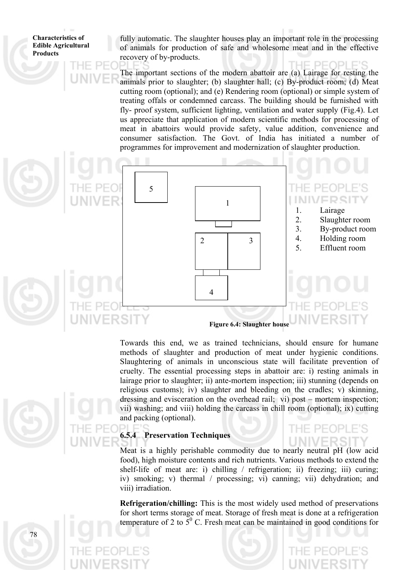fully automatic. The slaughter houses play an important role in the processing of animals for production of safe and wholesome meat and in the effective recovery of by-products.

The important sections of the modern abattoir are (a) Lairage for resting the animals prior to slaughter; (b) slaughter hall; (c) By-product room; (d) Meat cutting room (optional); and (e) Rendering room (optional) or simple system of treating offals or condemned carcass. The building should be furnished with fly- proof system, sufficient lighting, ventilation and water supply (Fig.4). Let us appreciate that application of modern scientific methods for processing of meat in abattoirs would provide safety, value addition, convenience and consumer satisfaction. The Govt. of India has initiated a number of programmes for improvement and modernization of slaughter production.



vii) washing; and viii) holding the carcass in chill room (optional); ix) cutting Towards this end, we as trained technicians, should ensure for humane methods of slaughter and production of meat under hygienic conditions. Slaughtering of animals in unconscious state will facilitate prevention of cruelty. The essential processing steps in abattoir are: i) resting animals in lairage prior to slaughter; ii) ante-mortem inspection; iii) stunning (depends on religious customs); iv) slaughter and bleeding on the cradles; v) skinning, dressing and evisceration on the overhead rail; vi) post – mortem inspection; and packing (optional).

## **6.5.4 Preservation Techniques**

iv) smoking; v) thermal / processing; vi) canning; vii) dehydration; and Meat is a highly perishable commodity due to nearly neutral pH (low acid food), high moisture contents and rich nutrients. Various methods to extend the shelf-life of meat are: i) chilling / refrigeration; ii) freezing; iii) curing; viii) irradiation.

**Refrigeration/chilling:** This is the most widely used method of preservations for short terms storage of meat. Storage of fresh meat is done at a refrigeration temperature of 2 to  $5^{\circ}$  C. Fresh meat can be maintained in good conditions for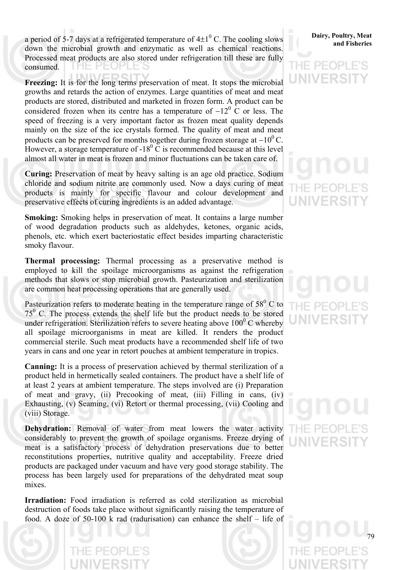a period of 5-7 days at a refrigerated temperature of  $4\pm1^0$  C. The cooling slows a period of 5-7 days at a refrigerated temperature of  $4\pm 1$  C. The cooling slows and Fisheries and Fisheries Processed meat products are also stored under refrigeration till these are fully consumed. H-

products can be preserved for months together during frozen storage at  $-10^0$  C.<br>However, a storage temperature of  $18^0$  G is recommended because at this layel. **Freezing:** It is for the long terms preservation of meat. It stops the microbial growths and retards the action of enzymes. Large quantities of meat and meat products are stored, distributed and marketed in frozen form. A product can be considered frozen when its centre has a temperature of  $-12^{\circ}$  C or less. The speed of freezing is a very important factor as frozen meat quality depends mainly on the size of the ice crystals formed. The quality of meat and meat However, a storage temperature of  $-18^{\circ}$  C is recommended because at this level almost all water in meat is frozen and minor fluctuations can be taken care of.

chloride and sodium nitrite are commonly used. Now a days curing of meat **Curing:** Preservation of meat by heavy salting is an age old practice. Sodium products is mainly for specific flavour and colour development and preservative effects of curing ingredients is an added advantage.

of wood degradation products such as aldehydes, ketones, organic acids, **Smoking:** Smoking helps in preservation of meat. It contains a large number phenols, etc. which exert bacteriostatic effect besides imparting characteristic smoky flavour.

employed to kill the spoilage microorganisms as against the refrigeration **Thermal processing:** Thermal processing as a preservative method is methods that slows or stop microbial growth. Pasteurization and sterilization are common heat processing operations that are generally used.

Pasteurization refers to moderate heating in the temperature range of  $58^{\circ}$  C to  $75<sup>0</sup>$  C. The process extends the shelf life but the product needs to be stored under refrigeration. Sterilization refers to severe heating above  $100^{\circ}$  C whereby all spoilage microorganisms in meat are killed. It renders the product commercial sterile. Such meat products have a recommended shelf life of two years in cans and one year in retort pouches at ambient temperature in tropics.

of meat and gravy, (ii) Precooking of meat, (iii) Filling in cans, (iv) **Canning:** It is a process of preservation achieved by thermal sterilization of a product held in hermetically sealed containers. The product have a shelf life of at least 2 years at ambient temperature. The steps involved are (i) Preparation Exhausting, (v) Seaming, (vi) Retort or thermal processing, (vii) Cooling and (viii) Storage.

products are packaged under vacuum and have very good storage stability. The process has been largely used for preparations of the dehydrated meat soup **Dehydration:** Removal of water from meat lowers the water activity considerably to prevent the growth of spoilage organisms. Freeze drying of meat is a satisfactory process of dehydration preservations due to better reconstitutions properties, nutritive quality and acceptability. Freeze dried mixes.

food. A doze of  $50-100$  k rad (radurisation) can enhance the shelf – life of **Irradiation:** Food irradiation is referred as cold sterilization as microbial destruction of foods take place without significantly raising the temperature of

# **Dairy, Poultry, Meat**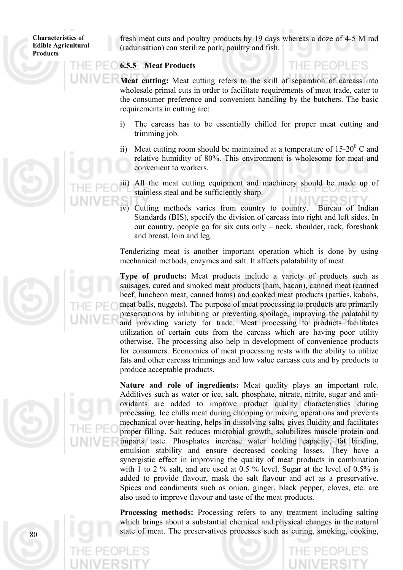fresh meat cuts and poultry products by 19 days whereas a doze of 4-5 M rad (radurisation) can sterilize pork, poultry and fish.

THE PEOPLE'S

## **6.5.5 Meat Products**

Meat cutting: Meat cutting refers to the skill of separation of carcass into wholesale primal cuts in order to facilitate requirements of meat trade, cater to requirements in cutting are: the consumer preference and convenient handling by the butchers. The basic

- i) The carcass has to be essentially chilled for proper meat cutting and trimming job.
- ii) Meat cutting room should be maintained at a temperature of  $15{\text -}20^{\textcirc}$  C and relative humidity of 80%. This environment is wholesome for meat and convenient to workers.

iii) All the meat cutting equipment and machinery should be made up of stainless steal and be sufficiently sharp.

iv) Cutting methods varies from country to country. Bureau of Indian Standards (BIS), specify the division of carcass into right and left sides. In our country, people go for six cuts only – neck, shoulder, rack, foreshank and breast, loin and leg.

Tenderizing meat is another important operation which is done by using mechanical methods, enzymes and salt. It affects palatability of meat.

otherwise. The processing also help in development of convenience products for consumers. Economics of meat processing rests with the ability to utilize **Type of products:** Meat products include a variety of products such as sausages, cured and smoked meat products (ham, bacon), canned meat (canned beef, luncheon meat, canned hams) and cooked meat products (patties, kababs, meat balls, nuggets). The purpose of meat processing to products are primarily preservations by inhibiting or preventing spoilage, improving the palatability and providing variety for trade. Meat processing to products facilitates utilization of certain cuts from the carcass which are having poor utility fats and other carcass trimmings and low value carcass cuts and by products to produce acceptable products.

with 1 to 2 % salt, and are used at 0.5 % level. Sugar at the level of 0.5% is added to provide flavour, mask the salt flavour and act as a preservative. **Nature and role of ingredients:** Meat quality plays an important role. Additives such as water or ice, salt, phosphate, nitrate, nitrite, sugar and antioxidants are added to improve product quality characteristics during processing. Ice chills meat during chopping or mixing operations and prevents mechanical over-heating, helps in dissolving salts, gives fluidity and facilitates proper filling. Salt reduces microbial growth, solubilizes muscle protein and imparts taste. Phosphates increase water holding capacity, fat binding, emulsion stability and ensure decreased cooking losses. They have a synergistic effect in improving the quality of meat products in combination Spices and condiments such as onion, ginger, black pepper, cloves, etc. are also used to improve flavour and taste of the meat products.

state of meat. The preservatives processes such as curing, smoking, cooking, **Processing methods:** Processing refers to any treatment including salting which brings about a substantial chemical and physical changes in the natural



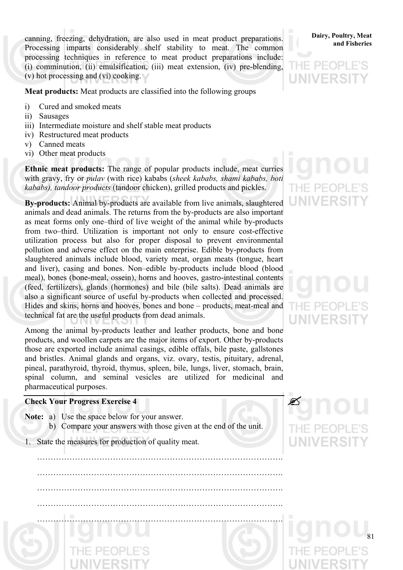processing techniques in reference to meat product preparations include: (i) comminution, (ii) emulsification, (iii) meat extension, (iv) pre-blending, canning, freezing, dehydration, are also used in meat product preparations. Processing imparts considerably shelf stability to meat. The common (v) hot processing and (vi) cooking.





Meat products: Meat products are classified into the following groups

- i) Cured and smoked meats
- ii) Sausages
- iii) Intermediate moisture and shelf stable meat products
- iv) Restructured meat products
- v) Canned meats
- vi) Other meat products

**Ethnic meat products:** The range of popular products include, meat curries with gravy, fry or *pulav* (with rice) kababs (sheek kababs, shami kababs, boti *kababs), tandoor products* (tandoor chicken), grilled products and pickles.

also a significant source of useful by-products when collected and processed. Hides and skins, horns and hooves, bones and bone – products, meat-meal and **By-products:** Animal by-products are available from live animals, slaughtered animals and dead animals. The returns from the by-products are also important as meat forms only one–third of live weight of the animal while by-products from two–third. Utilization is important not only to ensure cost-effective utilization process but also for proper disposal to prevent environmental pollution and adverse effect on the main enterprise. Edible by-products from slaughtered animals include blood, variety meat, organ meats (tongue, heart and liver), casing and bones. Non–edible by-products include blood (blood meal), bones (bone-meal, ossein), horns and hooves, gastro-intestinal contents (feed, fertilizers), glands (hormones) and bile (bile salts). Dead animals are technical fat are the useful products from dead animals.

pineal, parathyroid, thyroid, thymus, spleen, bile, lungs, liver, stomach, brain, spinal column, and seminal vesicles are utilized for medicinal and Among the animal by-products leather and leather products, bone and bone products, and woollen carpets are the major items of export. Other by-products those are exported include animal casings, edible offals, bile paste, gallstones and bristles. Animal glands and organs, viz. ovary, testis, pituitary, adrenal, pharmaceutical purposes.

#### **Check Your Progress Exercise 4**

- **Note:** a) Use the space below for your answer. b) Compare your answers with those given at the end of the unit.
- 1. State the measures for production of quality meat.

…………. ………………………………………………………………………………. ………………………………………………………………………………. ………………………………………………………………………………. ………………………………………………………………………………. ……………………………………………………………………

# THE PE UNIVERS

 $\mathscr{L}$ 

 $=$  PF(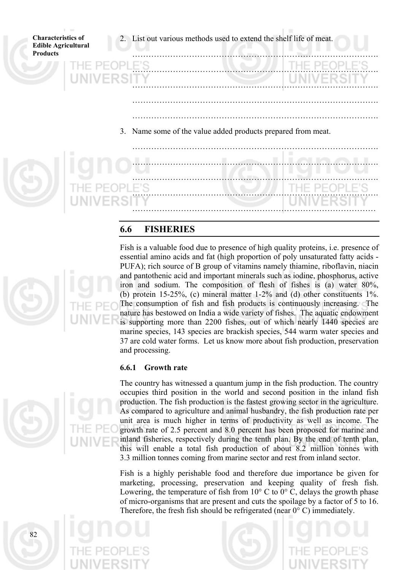**Characteristics of Edible Agricultural Products**  ……………. …………………………………………………………. ……………………………………………………………………………… 2. List out various methods used to extend the shelf life of meat. ………………………………………………………………………………. ………………………………………………………………………………. ………………………………………………………………………………. ………………………………………………………………… ………………………………………………………………………………. 3. Name some of the value added products prepared from meat. ………………………………………………………………………………. ………………………………………………………………………………. ………………………………………………………………………………. ……………………

# **6.6 FISHERIES**



Fish is a valuable food due to presence of high quality proteins, i.e. presence of essential amino acids and fat (high proportion of poly unsaturated fatty acids - PUFA); rich source of B group of vitamins namely thiamine, riboflavin, niacin and pantothenic acid and important minerals such as iodine, phosphorus, active iron and sodium. The composition of flesh of fishes is (a) water 80%, (b) protein 15-25%, (c) mineral matter  $1-2\%$  and (d) other constituents  $1\%$ . The consumption of fish and fish products is continuously increasing. The nature has bestowed on India a wide variety of fishes. The aquatic endowment is supporting m ore than 2200 fishes, out of which nearly 1440 species are marine species, 143 species are brackish species, 544 warm water species and 37 are cold water forms. Let us know more about fish production, preservation and processing.

#### **6.6.1 Growth rate**

growth rate of 2.5 percent and 8.0 percent has been proposed for marine and The country has witnessed a quantum jump in the fish production. The country occupies third position in the world and second position in the inland fish production. The fish production is the fastest growing sector in the agriculture. As compared to agriculture and animal husbandry, the fish production rate per unit area is much higher in terms of productivity as well as income. The inland fisheries, respectively during the tenth plan. By the end of tenth plan, this will enable a total fish production of about 8.2 million tonnes with 3.3 million tonnes coming from marine sector and rest from inland sector.

Lowering, the temperature of fish from  $10^{\circ}$  C to  $0^{\circ}$  C, delays the growth phase of micro-organisms that are present and cuts the spoilage by a factor of 5 to 16. Therefore, the fresh fish should be refrigerated (near  $0^{\circ}$  C) immediately. Fish is a highly perishable food and therefore due importance be given for marketing, processing, preservation and keeping quality of fresh fish.

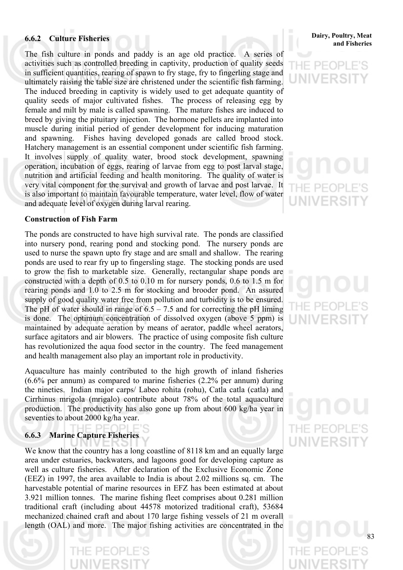#### **6.6.2 Culture Fisheries**

very vital component for the survival and growth of larvae and post larvae. It is also important to maintain favourable temperature, water level, flow of water and adequate level of oxygen during larval rearing. The fish culture in ponds and paddy is an age old practice. A series of activities such as controlled breeding in captivity, production of quality seeds in sufficient quantities, rearing of spawn to fry stage, fry to fingerling stage and ultimately raising the table size are christened under the scientific fish farming. The induced breeding in captivity is widely used to get adequate quantity of quality seeds of major cultivated fishes. The process of releasing egg by female and milt by male is called spawning. The mature fishes are induced to breed by giving the pituitary injection. The hormone pellets are implanted into muscle during initial period of gender development for inducing maturation and spawning. Fishes having developed gonads are called brood stock. Hatchery management is an essential component under scientific fish farming. It involves supply of quality water, brood stock development, spawning operation, incubation of eggs, rearing of larvae from egg to post larval stage, nutrition and artificial feeding and health monitoring. The quality of water is

#### **Construction of Fish Farm**

surface agitators and air blowers. The practice of using composite fish culture has revolutionized the aqua food sector in the country. The feed management The ponds are constructed to have high survival rate. The ponds are classified into nursery pond, rearing pond and stocking pond. The nursery ponds are used to nurse the spawn upto fry stage and are small and shallow. The rearing ponds are used to rear fry up to fingersling stage. The stocking ponds are used to grow the fish to marketable size. Generally, rectangular shape ponds are constructed with a depth of 0.5 to 0.10 m for nursery ponds, 0.6 to 1.5 m for rearing ponds and 1.0 to 2.5 m for stocking and brooder pond. An assured supply of good quality water free from pollution and turbidity is to be ensured. The pH of water should in range of  $6.5 - 7.5$  and for correcting the pH liming is done. The optimum concentration of dissolved oxygen (above 5 ppm) is maintained by adequate aeration by means of aerator, paddle wheel aerators, and health management also play an important role in productivity.

Cirrhinus mrigola (mrigalo) contribute about 78% of the total aquaculture production. The productivity has also gone up from about 600 kg/ha year in Aquaculture has mainly contributed to the high growth of inland fisheries (6.6% per annum) as compared to marine fisheries (2.2% per annum) during the nineties. Indian major carps/ Labeo rohita (rohu), Catla catla (catla) and seventies to about 2000 kg/ha year.

#### **6.6.3 Marine Capture Fisheries**

DE6

PF

ICI

We know that the country has a long coastline of 8118 km and an equally large area under estuaries, backwaters, and lagoons good for developing capture as well as culture fisheries. After declaration of the Exclusive Economic Zone (EEZ) in 1997, the area available to India is about 2.02 millions sq. cm. The harvestable potential of marine resources in EFZ has been estimated at about 3.921 million tonnes. The marine fishing fleet comprises about 0.281 million traditional craft (including about 44578 motorized traditional craft), 53684 mechanized chained craft and about 170 large fishing vessels of 21 m overall length (OAL) and more. The major fishing activities are concentrated in the **Dairy, Poultry, Meat and Fisheries**

# THE PE(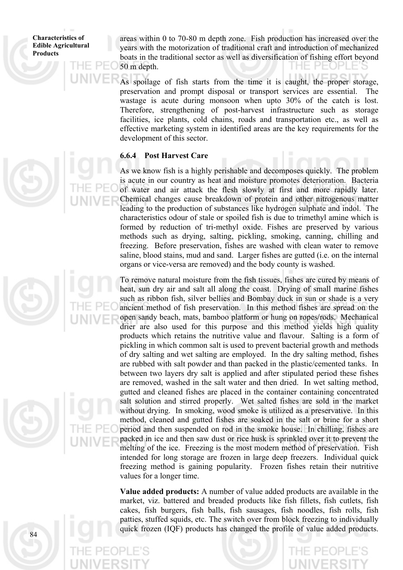areas within 0 to 70-80 m depth zone. Fish production has increased over the years with the motorization of traditional craft and introduction of mechanized boats in the traditional sector as well as diversification of fishing effort beyond 50 m depth.  $P \vdash Q P$ 

facilities, ice plants, cold chains, roads and transportation etc., as well as effective marketing system in identified areas are the key requirements for the As spoilage of fish starts from the time it is caught, the proper storage, preservation and prompt disposal or transport services are essential. The wastage is acute during monsoon when upto 30% of the catch is lost. Therefore, strengthening of post-harvest infrastructure such as storage development of this sector.

#### **6.6.4 Post Harvest Care**

freezing. Before preservation, fishes are washed with clean water to remove saline, blood stains, mud and sand. Larger fishes are gutted (i.e. on the internal As we know fish is a highly perishable and decomposes quickly. The problem is acute in our country as heat and moisture promotes deterioration. Bacteria of water and air attack the flesh slowly at first and more rapidly later. Chemical changes cause breakdown of protein and other nitrogenous matter leading to the production of substances like hydrogen sulphate and indol. The characteristics odour of stale or spoiled fish is due to trimethyl amine which is formed by reduction of tri-methyl oxide. Fishes are preserved by various methods such as drying, salting, pickling, smoking, canning, chilling and organs or vice-versa are removed) and the body county is washed.

intended for long storage are frozen in large deep freezers. Individual quick freezing method is gaining popularity. Frozen fishes retain their nutritive To remove natural moisture from the fish tissues, fishes are cured by means of heat, sun dry air and salt all along the coast. Drying of small marine fishes such as ribbon fish, silver bellies and Bombay duck in sun or shade is a very ancient method of fish preservation. In this method fishes are spread on the open sandy beach, mats, bamboo platform or hung on ropes/rods. Mechanical drier are also used for this purpose and this method yields high quality products which retains the nutritive value and flavour. Salting is a form of pickling in which common salt is used to prevent bacterial growth and methods of dry salting and wet salting are employed. In the dry salting method, fishes are rubbed with salt powder and than packed in the plastic/cemented tanks. In between two layers dry salt is applied and after stipulated period these fishes are removed, washed in the salt water and then dried. In wet salting method, gutted and cleaned fishes are placed in the container containing concentrated salt solution and stirred properly. Wet salted fishes are sold in the market without drying. In smoking, wood smoke is utilized as a preservative. In this method, cleaned and gutted fishes are soaked in the salt or brine for a short period and then suspended on rod in the smoke house. In chilling, fishes are packed in ice and then saw dust or rice husk is sprinkled over it to prevent the melting of the ice. Freezing is the most modern method of preservation. Fish values for a longer time.

**Value added products:** A number of value added products are available in the market, viz. battered and breaded products like fish fillets, fish cutlets, fish cakes, fish burgers, fish balls, fish sausages, fish noodles, fish rolls, fish patties, stuffed squids, etc. The switch over from block freezing to individually quick frozen (IQF) products has changed the profile of value added products.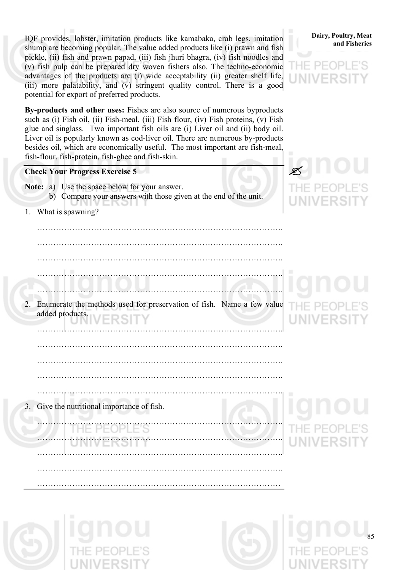advantages of the products are (i) wide acceptability (ii) greater shelf life, (iii) more palatability, and (v) stringent quality control. There is a good IQF provides, lobster, imitation products like kamabaka, crab legs, imitation shump are becoming popular. The value added products like (i) prawn and fish pickle, (ii) fish and prawn papad, (iii) fish jhuri bhagra, (iv) fish noodles and (v) fish pulp can be prepared dry woven fishers also. The techno-economic potential for export of preferred products.

Liver oil is popularly known as cod-liver oil. There are numerous by-products besides oil, which are economically useful. The most important are fish-meal, fish-flour, fish-protein, fish-ghee and fish-skin. **By-products and other uses:** Fishes are also source of numerous byproducts such as (i) Fish oil, (ii) Fish-meal, (iii) Fish flour, (iv) Fish proteins, (v) Fish glue and singlass. Two important fish oils are (i) Liver oil and (ii) body oil.

#### **Check Your Progress Exercise 5**

- **Note:** a) Use the space below for your answer.
	- b) Compare your answers with those given at the end of the unit.

……………………………………………………………………………….

1. What is spawning?

 ………………………………………………………………………………. ………………………………………………………………………………. ……………………………………………………………………………….

2. Enumerate the methods used for preservation of fish. Name a few value added products.

 ………………………………………………………………………………. ……………………………………………………………………………….

……………………………………………………………………………….

Give the nutritional importance of fish.

……………………………………………

……………………………………………………………………………….

……………………………………………………………………………….

……………………………………………………………………………….

………………………………………………………………………………













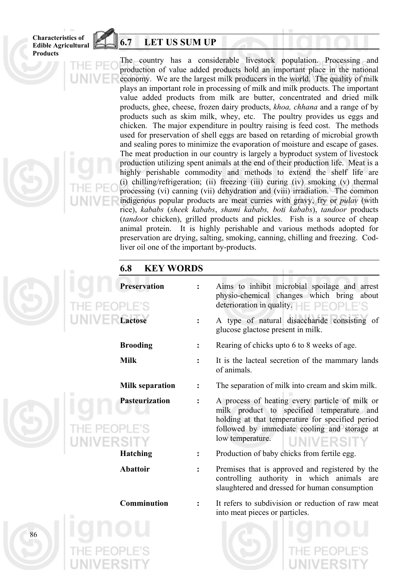# **6.7 LET US SUM UP**

The country has a considerable livestock population. Processing and production of value added products hold an important place in the national economy. We are the largest milk producers in the world. The quality of milk plays an important role in processing of milk and milk products. The important value added products from milk are butter, concentrated and dried milk products, ghee, cheese, frozen dairy products, *khoa, chhana* and a range of by products such as skim milk, whey, etc. The poultry provides us eggs and chicken. The major expenditure in poultry raising is feed cost. The methods used for preservation of shell eggs are based on retarding of microbial growth and sealing pores to minimize the evaporation of moisture and escape of gases. The meat production in our country is largely a byproduct system of livestock production utilizing spent animals at the end of their production life. Meat is a highly perishable commodity and methods to extend the shelf life are (i) chilling/refrigeration; (ii) freezing (iii) curing (iv) smoking (v) thermal processing (vi) canning (vii) dehydration and (viii) irradiation. The common indigenous popular products are meat curries with gravy, fry or *pulav* (with rice), *kababs* (*sheek kababs*, *shami kababs, boti kababs*), *tandoor* products (*tandoo*r chicken), grilled products and pickles. Fish is a source of cheap animal protein. It is highly perishable and various methods adopted for preservation are drying, salting, smoking, canning, chilling and freezing. Codliver oil one of the important by-products.

# **6.8 KEY WORDS**

**Preservation :** Aims to inhibit microbial spoilage and arrest physio-chemical changes which bring about deterioration in quality.  $\Box$   $\Box$   $\Box$   $\Box$   $\Box$   $\Box$ **Lactose :** A type of natural disaccharide consisting of glucose glactose present in milk. **Brooding :** Rearing of chicks upto 6 to 8 weeks of age. **Milk :** It is the lacteal secretion of the mammary lands of animals. **Milk separation :** The separation of milk into cream and skim milk. **Pasteurization :** A process of heating every particle of milk or milk product to specified temperature and holding at that temperature for specified period followed by immediate cooling and storage at low temperature. **Hatching :** Production of baby chicks from fertile egg. Abattoir : Premises that is approved and registered by the controlling authority in which animals are slaughtered and dressed for human consumption **Comminution :** It refers to subdivision or reduction of raw meat

into meat pieces or particles.

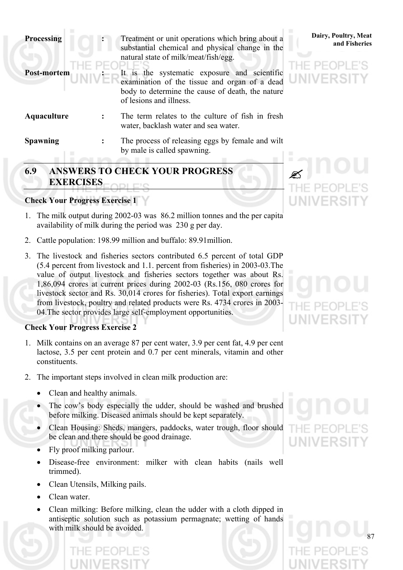| <b>Processing</b>  | Treatment or unit operations which bring about a<br>substantial chemical and physical change in the<br>natural state of milk/meat/fish/egg.                                  | Dairy, Poultry, Meat<br>and Fisheries |
|--------------------|------------------------------------------------------------------------------------------------------------------------------------------------------------------------------|---------------------------------------|
| <b>Post-mortem</b> | It is the systematic exposure and scientific<br>examination of the tissue and organ of a dead<br>body to determine the cause of death, the nature<br>of lesions and illness. | PFOPLE'S<br>UNIVERSITY                |
| Aquaculture        | The term relates to the culture of fish in fresh<br>water, backlash water and sea water.                                                                                     |                                       |
| <b>Spawning</b>    | The process of releasing eggs by female and wilt<br>by male is called spawning.                                                                                              |                                       |

# **6.9 ANSWERS TO CHECK YOUR PROGRESS EXERCISES**

## **Check Your Progress Exercise 1**

- 1. The milk output during 2002-03 was 86.2 million tonnes and the per capita availability of milk during the period was 230 g per day.
- 2. Cattle population: 198.99 million and buffalo: 89.91million.
- 3. The livestock and fisheries sectors contributed 6.5 percent of total GDP (5.4 percent from livestock and 1.1. percent from fisheries) in 2003-03.The value of output livestock and fisheries sectors together was about Rs. 1,86,094 crores at current prices during 2002-03 (Rs.156, 080 crores for livestock sector and Rs. 30,014 crores for fisheries). Total export earnings from livestock, poultry and related products were Rs. 4734 crores in 2003- 04.The sector provides large self-employment opportunities.

#### **Check Your Progress Exercise 2**

- 1. Milk contains on an average 87 per cent water, 3.9 per cent fat, 4.9 per cent lactose, 3.5 per cent protein and 0.7 per cent minerals, vitamin and other constituents.
- 2. The important steps involved in clean milk production are:
	- Clean and healthy animals.
	- The cow's body especially the udder, should be washed and brushed before milking. Diseased animals should be kept separately.
	- Clean Housing: Sheds, mangers, paddocks, water trough, floor should be clean and there should be good drainage.
	- Fly proof milking parlour.
	- Disease-free environment: milker with clean habits (nails well trimmed).
	- Clean Utensils, Milking pails.
	- Clean water.
	- Clean milking: Before milking, clean the udder with a cloth dipped in antiseptic solution such as potassium permagnate; wetting of hands with milk should be avoided.





**S** UNIVERS



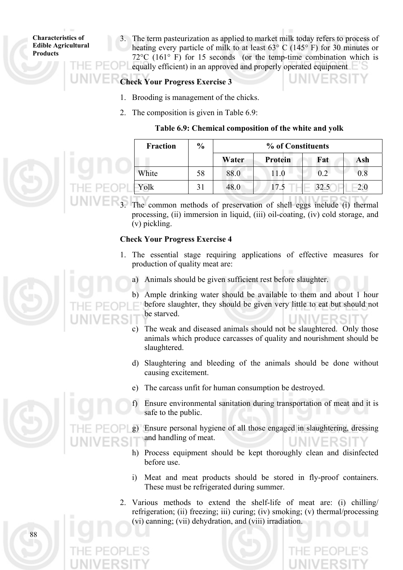3. The term pasteurization as applied to market milk today refers to process of heating every particle of milk to at least 63° C (145° F) for 30 minutes or 72°C (161° F) for 15 seconds (or the temp-time combination which is equally efficient) in an approved and properly operated equipment

### **Check Your Progress Exercise 3**

- 1. Brooding is management of the chicks.
- 2. The composition is given in Table 6.9:

#### **Table 6.9: Chemical composition of the white and yolk**

| <b>Fraction</b> | $\frac{0}{0}$ | % of Constituents |                |      |     |
|-----------------|---------------|-------------------|----------------|------|-----|
|                 |               | Water             | <b>Protein</b> | Fat  | Ash |
| White           | 58            | 88.0              | 11.0           | 0.2  | 0.8 |
| Yolk            | 31            | 48.0              |                | 32.5 | 2.0 |

The common methods of preservation of shell eggs include (i) thermal processing, (ii) immersion in liquid, (iii) oil-coating, (iv) cold storage, and (v) pickling.

#### **Check Your Progress Exercise 4**

- 1. The essential stage requiring applications of effective measures for production of quality meat are:
	- a) Animals should be given sufficient rest before slaughter.

b) Ample drinking water should be available to them and about 1 hour before slaughter, they should be given very little to eat but should not be starved.

- c) The weak and diseased animals should not be slaughtered. Only those animals which produce carcasses of quality and nourishment should be slaughtered.
- d) Slaughtering and bleeding of the animals should be done without causing excitement.
- e) The carcass unfit for human consumption be destroyed.
- f) Ensure environmental sanitation during transportation of meat and it is safe to the public.
- Ensure personal hygiene of all those engaged in slaughtering, dressing and handling of meat.
- h) Process equipment should be kept thoroughly clean and disinfected before use.
- i) Meat and meat products should be stored in fly-proof containers. These must be refrigerated during summer.
- 2. Various methods to extend the shelf-life of meat are: (i) chilling/ refrigeration; (ii) freezing; iii) curing; (iv) smoking; (v) thermal/processing (vi) canning; (vii) dehydration, and (viii) irradiation.